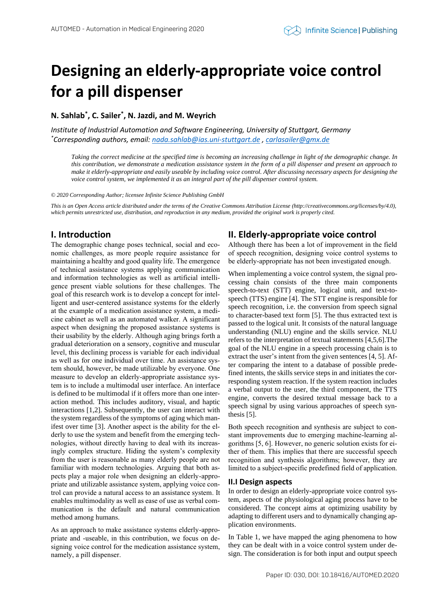# **Designing an elderly-appropriate voice control for a pill dispenser**

**N. Sahlab\* , C. Sailer\* , N. Jazdi, and M. Weyrich**

*Institute of Industrial Automation and Software Engineering, University of Stuttgart, Germany \*Corresponding authors, email[: nada.sahlab@ias.uni-stuttgart.de](mailto:nada.sahlab@ias.uni-stuttgart.de) [, carlasailer@gmx.de](mailto:carlasailer@gmx.de)*

*Taking the correct medicine at the specified time is becoming an increasing challenge in light of the demographic change. In this contribution, we demonstrate a medication assistance system in the form of a pill dispenser and present an approach to make it elderly-appropriate and easily useable by including voice control. After discussing necessary aspects for designing the voice control system, we implemented it as an integral part of the pill dispenser control system.*

*© 2020 Corresponding Author; licensee Infinite Science Publishing GmbH*

*This is an Open Access article distributed under the terms of the Creative Commons Attribution License (http://creativecommons.org/licenses/by/4.0), which permits unrestricted use, distribution, and reproduction in any medium, provided the original work is properly cited.*

# **I. Introduction**

The demographic change poses technical, social and economic challenges, as more people require assistance for maintaining a healthy and good quality life. The emergence of technical assistance systems applying communication and information technologies as well as artificial intelligence present viable solutions for these challenges. The goal of this research work is to develop a concept for intelligent and user-centered assistance systems for the elderly at the example of a medication assistance system, a medicine cabinet as well as an automated walker. A significant aspect when designing the proposed assistance systems is their usability by the elderly. Although aging brings forth a gradual deterioration on a sensory, cognitive and muscular level, this declining process is variable for each individual as well as for one individual over time. An assistance system should, however, be made utilizable by everyone. One measure to develop an elderly-appropriate assistance system is to include a multimodal user interface. An interface is defined to be multimodal if it offers more than one interaction method. This includes auditory, visual, and haptic interactions [1,2]. Subsequently, the user can interact with the system regardless of the symptoms of aging which manifest over time [3]. Another aspect is the ability for the elderly to use the system and benefit from the emerging technologies, without directly having to deal with its increasingly complex structure. Hiding the system's complexity from the user is reasonable as many elderly people are not familiar with modern technologies. Arguing that both aspects play a major role when designing an elderly-appropriate and utilizable assistance system, applying voice control can provide a natural access to an assistance system. It enables multimodality as well as ease of use as verbal communication is the default and natural communication method among humans.

As an approach to make assistance systems elderly-appropriate and -useable, in this contribution, we focus on designing voice control for the medication assistance system, namely, a pill dispenser.

## **II. Elderly-appropriate voice control**

Although there has been a lot of improvement in the field of speech recognition, designing voice control systems to be elderly-appropriate has not been investigated enough.

When implementing a voice control system, the signal processing chain consists of the three main components speech-to-text (STT) engine, logical unit, and text-tospeech (TTS) engine [4]. The STT engine is responsible for speech recognition, i.e. the conversion from speech signal to character-based text form [5]. The thus extracted text is passed to the logical unit. It consists of the natural language understanding (NLU) engine and the skills service. NLU refers to the interpretation of textual statements [4,5,6].The goal of the NLU engine in a speech processing chain is to extract the user's intent from the given sentences [4, 5]. After comparing the intent to a database of possible predefined intents, the skills service steps in and initiates the corresponding system reaction. If the system reaction includes a verbal output to the user, the third component, the TTS engine, converts the desired textual message back to a speech signal by using various approaches of speech synthesis [5].

Both speech recognition and synthesis are subject to constant improvements due to emerging machine-learning algorithms [5, 6]. However, no generic solution exists for either of them. This implies that there are successful speech recognition and synthesis algorithms; however, they are limited to a subject-specific predefined field of application.

#### **II.I Design aspects**

In order to design an elderly-appropriate voice control system, aspects of the physiological aging process have to be considered. The concept aims at optimizing usability by adapting to different users and to dynamically changing application environments.

In [Table 1,](#page-1-0) we have mapped the aging phenomena to how they can be dealt with in a voice control system under design. The consideration is for both input and output speech